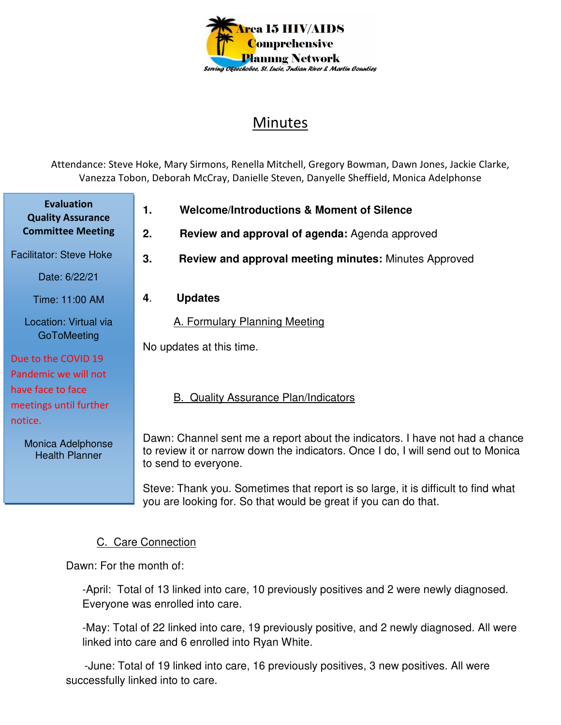

# Minutes

Attendance: Steve Hoke, Mary Sirmons, Renella Mitchell, Gregory Bowman, Dawn Jones, Jackie Clarke, Vanezza Tobon, Deborah McCray, Danielle Steven, Danyelle Sheffield, Monica Adelphonse

**Evaluation Quality Assurance Committee Meeting**

Facilitator: Steve Hoke

Date: 6/22/21

Time: 11:00 AM

Location: Virtual via **GoToMeeting** 

## Due to the COVID 19

Pandemic we will not have face to face meetings until further notice.

> Monica Adelphonse Health Planner

- **1. Welcome/Introductions & Moment of Silence**
- **2. Review and approval of agenda:** Agenda approved
- **3. Review and approval meeting minutes:** Minutes Approved
- **4**. **Updates**

A. Formulary Planning Meeting

No updates at this time.

### B. Quality Assurance Plan/Indicators

Dawn: Channel sent me a report about the indicators. I have not had a chance to review it or narrow down the indicators. Once I do, I will send out to Monica to send to everyone.

Steve: Thank you. Sometimes that report is so large, it is difficult to find what you are looking for. So that would be great if you can do that.

### C. Care Connection

Dawn: For the month of:

-April: Total of 13 linked into care, 10 previously positives and 2 were newly diagnosed. Everyone was enrolled into care.

-May: Total of 22 linked into care, 19 previously positive, and 2 newly diagnosed. All were linked into care and 6 enrolled into Ryan White.

 -June: Total of 19 linked into care, 16 previously positives, 3 new positives. All were successfully linked into to care.